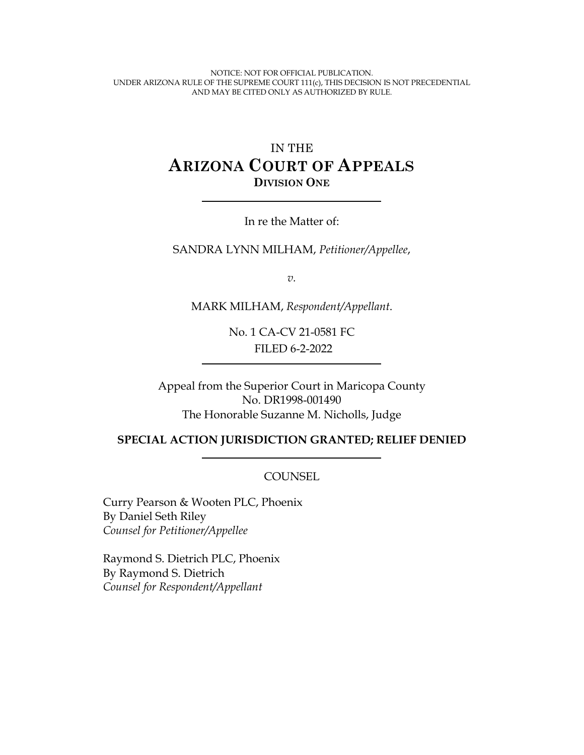NOTICE: NOT FOR OFFICIAL PUBLICATION. UNDER ARIZONA RULE OF THE SUPREME COURT 111(c), THIS DECISION IS NOT PRECEDENTIAL AND MAY BE CITED ONLY AS AUTHORIZED BY RULE.

# IN THE **ARIZONA COURT OF APPEALS DIVISION ONE**

In re the Matter of:

SANDRA LYNN MILHAM, *Petitioner/Appellee*,

*v.*

MARK MILHAM, *Respondent/Appellant*.

No. 1 CA-CV 21-0581 FC FILED 6-2-2022

Appeal from the Superior Court in Maricopa County No. DR1998-001490 The Honorable Suzanne M. Nicholls, Judge

#### **SPECIAL ACTION JURISDICTION GRANTED; RELIEF DENIED**

**COUNSEL** 

Curry Pearson & Wooten PLC, Phoenix By Daniel Seth Riley *Counsel for Petitioner/Appellee*

Raymond S. Dietrich PLC, Phoenix By Raymond S. Dietrich *Counsel for Respondent/Appellant*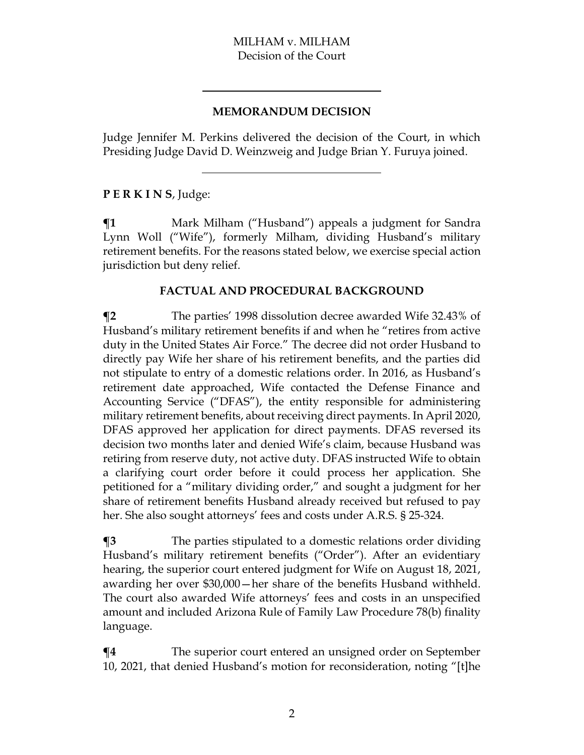#### **MEMORANDUM DECISION**

Judge Jennifer M. Perkins delivered the decision of the Court, in which Presiding Judge David D. Weinzweig and Judge Brian Y. Furuya joined.

### **P E R K I N S**, Judge:

**¶1** Mark Milham ("Husband") appeals a judgment for Sandra Lynn Woll ("Wife"), formerly Milham, dividing Husband's military retirement benefits. For the reasons stated below, we exercise special action jurisdiction but deny relief.

#### **FACTUAL AND PROCEDURAL BACKGROUND**

**¶2** The parties' 1998 dissolution decree awarded Wife 32.43% of Husband's military retirement benefits if and when he "retires from active duty in the United States Air Force." The decree did not order Husband to directly pay Wife her share of his retirement benefits, and the parties did not stipulate to entry of a domestic relations order. In 2016, as Husband's retirement date approached, Wife contacted the Defense Finance and Accounting Service ("DFAS"), the entity responsible for administering military retirement benefits, about receiving direct payments. In April 2020, DFAS approved her application for direct payments. DFAS reversed its decision two months later and denied Wife's claim, because Husband was retiring from reserve duty, not active duty. DFAS instructed Wife to obtain a clarifying court order before it could process her application. She petitioned for a "military dividing order," and sought a judgment for her share of retirement benefits Husband already received but refused to pay her. She also sought attorneys' fees and costs under A.R.S. § 25-324.

**¶3** The parties stipulated to a domestic relations order dividing Husband's military retirement benefits ("Order"). After an evidentiary hearing, the superior court entered judgment for Wife on August 18, 2021, awarding her over \$30,000—her share of the benefits Husband withheld. The court also awarded Wife attorneys' fees and costs in an unspecified amount and included Arizona Rule of Family Law Procedure 78(b) finality language.

**¶4** The superior court entered an unsigned order on September 10, 2021, that denied Husband's motion for reconsideration, noting "[t]he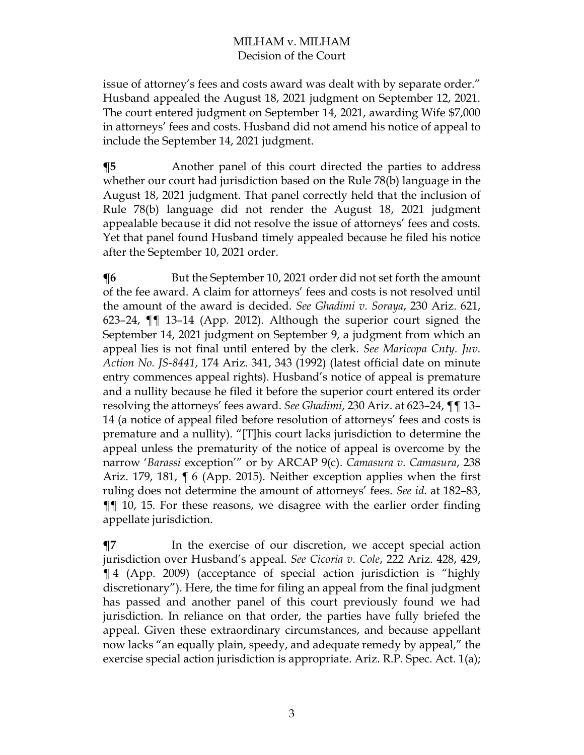issue of attorney's fees and costs award was dealt with by separate order." Husband appealed the August 18, 2021 judgment on September 12, 2021. The court entered judgment on September 14, 2021, awarding Wife \$7,000 in attorneys' fees and costs. Husband did not amend his notice of appeal to include the September 14, 2021 judgment.

**The Term** Another panel of this court directed the parties to address whether our court had jurisdiction based on the Rule 78(b) language in the August 18, 2021 judgment. That panel correctly held that the inclusion of Rule 78(b) language did not render the August 18, 2021 judgment appealable because it did not resolve the issue of attorneys' fees and costs. Yet that panel found Husband timely appealed because he filed his notice after the September 10, 2021 order.

**The September 10, 2021 order did not set forth the amount** of the fee award. A claim for attorneys' fees and costs is not resolved until the amount of the award is decided. *See Ghadimi v. Soraya*, 230 Ariz. 621, 623–24, ¶¶ 13–14 (App. 2012). Although the superior court signed the September 14, 2021 judgment on September 9, a judgment from which an appeal lies is not final until entered by the clerk. *See Maricopa Cnty. Juv. Action No. JS-8441*, 174 Ariz. 341, 343 (1992) (latest official date on minute entry commences appeal rights). Husband's notice of appeal is premature and a nullity because he filed it before the superior court entered its order resolving the attorneys' fees award. *See Ghadimi*, 230 Ariz. at 623–24, ¶¶ 13– 14 (a notice of appeal filed before resolution of attorneys' fees and costs is premature and a nullity). "[T]his court lacks jurisdiction to determine the appeal unless the prematurity of the notice of appeal is overcome by the narrow '*Barassi* exception'" or by ARCAP 9(c). *Camasura v. Camasura*, 238 Ariz. 179, 181, ¶ 6 (App. 2015). Neither exception applies when the first ruling does not determine the amount of attorneys' fees. *See id.* at 182–83, ¶¶ 10, 15. For these reasons, we disagree with the earlier order finding appellate jurisdiction.

**¶7** In the exercise of our discretion, we accept special action jurisdiction over Husband's appeal. *See Cicoria v. Cole*, 222 Ariz. 428, 429, ¶ 4 (App. 2009) (acceptance of special action jurisdiction is "highly discretionary"). Here, the time for filing an appeal from the final judgment has passed and another panel of this court previously found we had jurisdiction. In reliance on that order, the parties have fully briefed the appeal. Given these extraordinary circumstances, and because appellant now lacks "an equally plain, speedy, and adequate remedy by appeal," the exercise special action jurisdiction is appropriate. Ariz. R.P. Spec. Act. 1(a);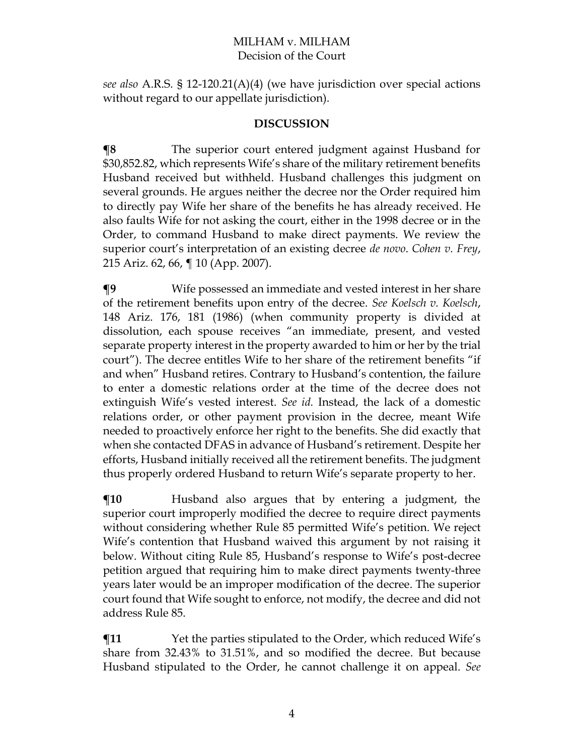*see also* A.R.S. § 12-120.21(A)(4) (we have jurisdiction over special actions without regard to our appellate jurisdiction).

#### **DISCUSSION**

**¶8** The superior court entered judgment against Husband for \$30,852.82, which represents Wife's share of the military retirement benefits Husband received but withheld. Husband challenges this judgment on several grounds. He argues neither the decree nor the Order required him to directly pay Wife her share of the benefits he has already received. He also faults Wife for not asking the court, either in the 1998 decree or in the Order, to command Husband to make direct payments. We review the superior court's interpretation of an existing decree *de novo*. *Cohen v. Frey*, 215 Ariz. 62, 66, ¶ 10 (App. 2007).

**¶9** Wife possessed an immediate and vested interest in her share of the retirement benefits upon entry of the decree. *See Koelsch v. Koelsch*, 148 Ariz. 176, 181 (1986) (when community property is divided at dissolution, each spouse receives "an immediate, present, and vested separate property interest in the property awarded to him or her by the trial court"). The decree entitles Wife to her share of the retirement benefits "if and when" Husband retires. Contrary to Husband's contention, the failure to enter a domestic relations order at the time of the decree does not extinguish Wife's vested interest. *See id.* Instead, the lack of a domestic relations order, or other payment provision in the decree, meant Wife needed to proactively enforce her right to the benefits. She did exactly that when she contacted DFAS in advance of Husband's retirement. Despite her efforts, Husband initially received all the retirement benefits. The judgment thus properly ordered Husband to return Wife's separate property to her.

**The Ten and Ten argues** that by entering a judgment, the superior court improperly modified the decree to require direct payments without considering whether Rule 85 permitted Wife's petition. We reject Wife's contention that Husband waived this argument by not raising it below. Without citing Rule 85, Husband's response to Wife's post-decree petition argued that requiring him to make direct payments twenty-three years later would be an improper modification of the decree. The superior court found that Wife sought to enforce, not modify, the decree and did not address Rule 85.

 $\P$ **11** Yet the parties stipulated to the Order, which reduced Wife's share from 32.43% to 31.51%, and so modified the decree. But because Husband stipulated to the Order, he cannot challenge it on appeal. *See*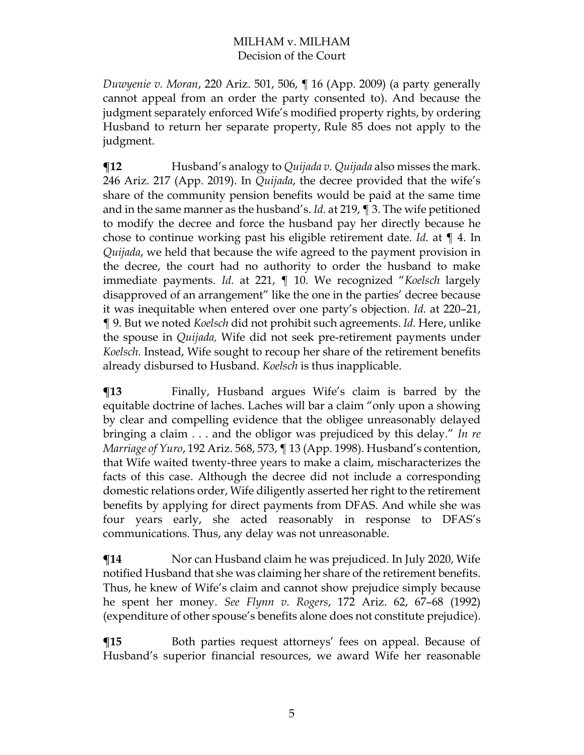*Duwyenie v. Moran*, 220 Ariz. 501, 506, ¶ 16 (App. 2009) (a party generally cannot appeal from an order the party consented to). And because the judgment separately enforced Wife's modified property rights, by ordering Husband to return her separate property, Rule 85 does not apply to the judgment.

**¶12** Husband's analogy to *Quijada v. Quijada* also misses the mark. 246 Ariz. 217 (App. 2019). In *Quijada*, the decree provided that the wife's share of the community pension benefits would be paid at the same time and in the same manner as the husband's. *Id.* at 219, ¶ 3. The wife petitioned to modify the decree and force the husband pay her directly because he chose to continue working past his eligible retirement date. *Id.* at ¶ 4. In *Quijada*, we held that because the wife agreed to the payment provision in the decree, the court had no authority to order the husband to make immediate payments. *Id.* at 221, ¶ 10. We recognized "*Koelsch* largely disapproved of an arrangement" like the one in the parties' decree because it was inequitable when entered over one party's objection. *Id.* at 220–21, ¶ 9. But we noted *Koelsch* did not prohibit such agreements. *Id.* Here, unlike the spouse in *Quijada,* Wife did not seek pre-retirement payments under *Koelsch.* Instead, Wife sought to recoup her share of the retirement benefits already disbursed to Husband. *Koelsch* is thus inapplicable.

**¶13** Finally, Husband argues Wife's claim is barred by the equitable doctrine of laches. Laches will bar a claim "only upon a showing by clear and compelling evidence that the obligee unreasonably delayed bringing a claim . . . and the obligor was prejudiced by this delay." *In re Marriage of Yuro*, 192 Ariz. 568, 573, ¶ 13 (App. 1998). Husband's contention, that Wife waited twenty-three years to make a claim, mischaracterizes the facts of this case. Although the decree did not include a corresponding domestic relations order, Wife diligently asserted her right to the retirement benefits by applying for direct payments from DFAS. And while she was four years early, she acted reasonably in response to DFAS's communications. Thus, any delay was not unreasonable.

 $\P$ **14** Nor can Husband claim he was prejudiced. In July 2020, Wife notified Husband that she was claiming her share of the retirement benefits. Thus, he knew of Wife's claim and cannot show prejudice simply because he spent her money. *See Flynn v. Rogers*, 172 Ariz. 62, 67–68 (1992) (expenditure of other spouse's benefits alone does not constitute prejudice).

**The Term** Both parties request attorneys' fees on appeal. Because of Husband's superior financial resources, we award Wife her reasonable